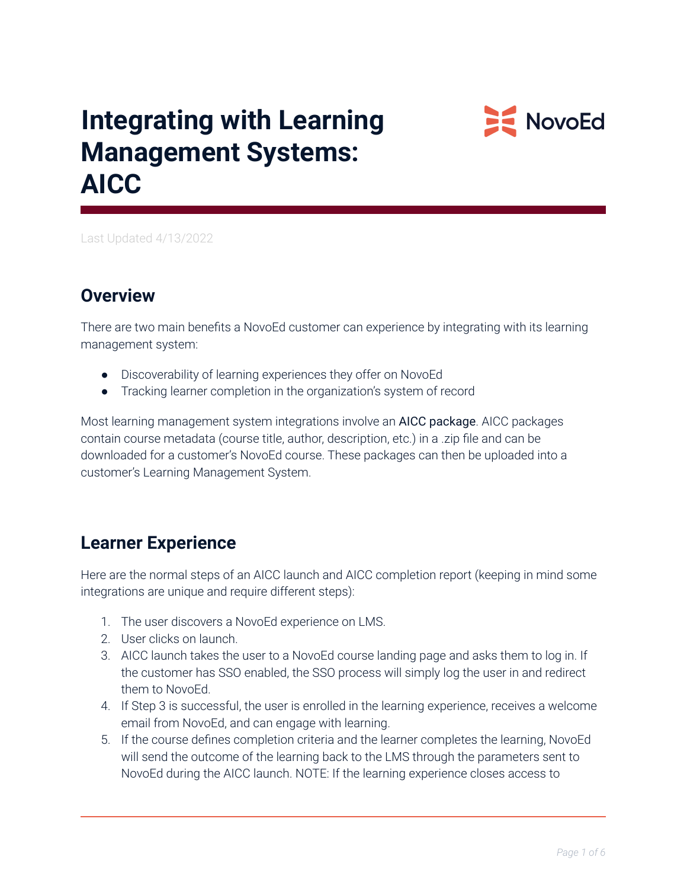# **Integrating with Learning Management Systems: AICC**



Last Updated 4/13/2022

## **Overview**

There are two main benefits a NovoEd customer can experience by integrating with its learning management system:

- Discoverability of learning experiences they offer on NovoEd
- Tracking learner completion in the organization's system of record

Most learning management system integrations involve an AICC package. AICC packages contain course metadata (course title, author, description, etc.) in a .zip file and can be downloaded for a customer's NovoEd course. These packages can then be uploaded into a customer's Learning Management System.

## **Learner Experience**

Here are the normal steps of an AICC launch and AICC completion report (keeping in mind some integrations are unique and require different steps):

- 1. The user discovers a NovoEd experience on LMS.
- 2. User clicks on launch.
- 3. AICC launch takes the user to a NovoEd course landing page and asks them to log in. If the customer has SSO enabled, the SSO process will simply log the user in and redirect them to NovoEd.
- 4. If Step 3 is successful, the user is enrolled in the learning experience, receives a welcome email from NovoEd, and can engage with learning.
- 5. If the course defines completion criteria and the learner completes the learning, NovoEd will send the outcome of the learning back to the LMS through the parameters sent to NovoEd during the AICC launch. NOTE: If the learning experience closes access to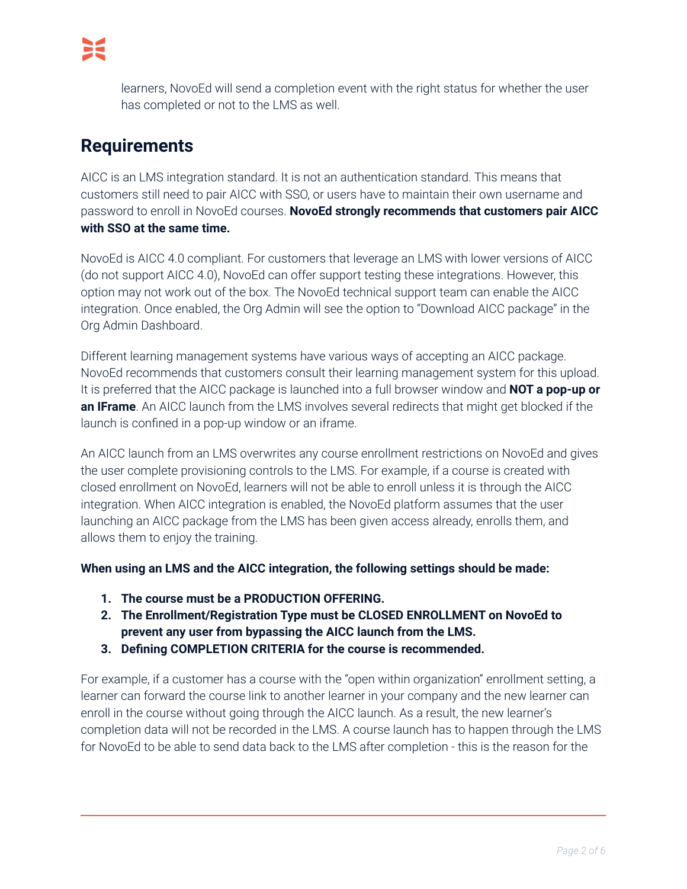learners, NovoEd will send a completion event with the right status for whether the user has completed or not to the LMS as well.

# **Requirements**

AICC is an LMS integration standard. It is not an authentication standard. This means that customers still need to pair AICC with SSO, or users have to maintain their own username and password to enroll in NovoEd courses. **NovoEd strongly recommends that customers pair AICC with SSO at the same time.**

NovoEd is AICC 4.0 compliant. For customers that leverage an LMS with lower versions of AICC (do not support AICC 4.0), NovoEd can offer support testing these integrations. However, this option may not work out of the box. The NovoEd technical support team can enable the AICC integration. Once enabled, the Org Admin will see the option to "Download AICC package" in the Org Admin Dashboard.

Different learning management systems have various ways of accepting an AICC package. NovoEd recommends that customers consult their learning management system for this upload. It is preferred that the AICC package is launched into a full browser window and **NOT a pop-up or an IFrame**. An AICC launch from the LMS involves several redirects that might get blocked if the launch is confined in a pop-up window or an iframe.

An AICC launch from an LMS overwrites any course enrollment restrictions on NovoEd and gives the user complete provisioning controls to the LMS. For example, if a course is created with closed enrollment on NovoEd, learners will not be able to enroll unless it is through the AICC integration. When AICC integration is enabled, the NovoEd platform assumes that the user launching an AICC package from the LMS has been given access already, enrolls them, and allows them to enjoy the training.

**When using an LMS and the AICC integration, the following settings should be made:**

- **1. The course must be a PRODUCTION OFFERING.**
- **2. The Enrollment/Registration Type must be CLOSED ENROLLMENT on NovoEd to prevent any user from bypassing the AICC launch from the LMS.**
- **3. Defining COMPLETION CRITERIA for the course is recommended.**

For example, if a customer has a course with the "open within organization" enrollment setting, a learner can forward the course link to another learner in your company and the new learner can enroll in the course without going through the AICC launch. As a result, the new learner's completion data will not be recorded in the LMS. A course launch has to happen through the LMS for NovoEd to be able to send data back to the LMS after completion - this is the reason for the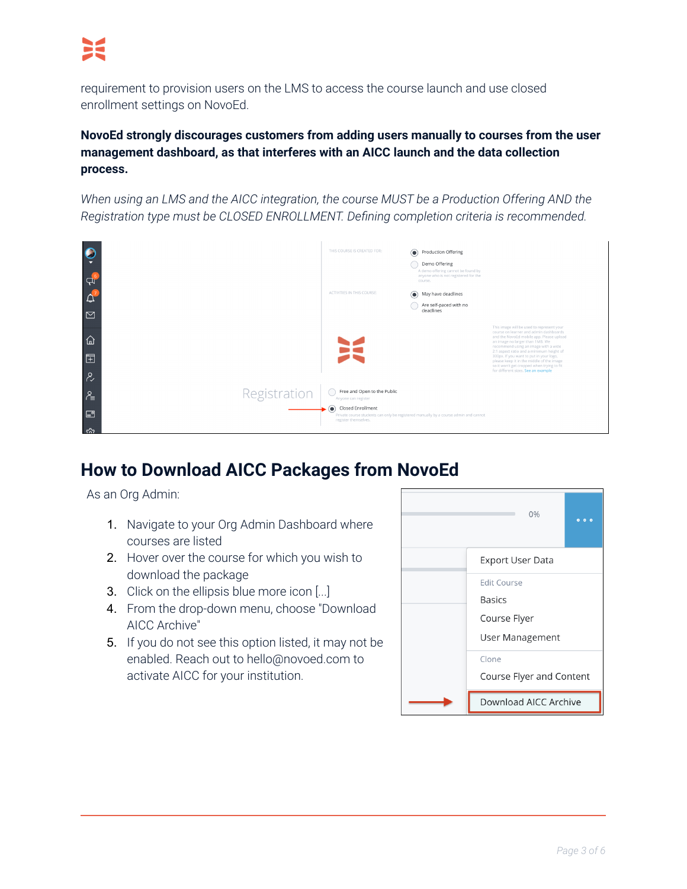requirement to provision users on the LMS to access the course launch and use closed enrollment settings on NovoEd.

**NovoEd strongly discourages customers from adding users manually to courses from the user management dashboard, as that interferes with an AICC launch and the data collection process.**

*When using an LMS and the AICC integration, the course MUST be a Production Offering AND the Registration type must be CLOSED ENROLLMENT. Defining completion criteria is recommended.*



## **How to Download AICC Packages from NovoEd**

As an Org Admin:

- 1. Navigate to your Org Admin Dashboard where courses are listed
- 2. Hover over the course for which you wish to download the package
- 3. Click on the ellipsis blue more icon [...]
- 4. From the drop-down menu, choose "Download AICC Archive"
- 5. If you do not see this option listed, it may not be enabled. Reach out to hello@novoed.com to activate AICC for your institution.

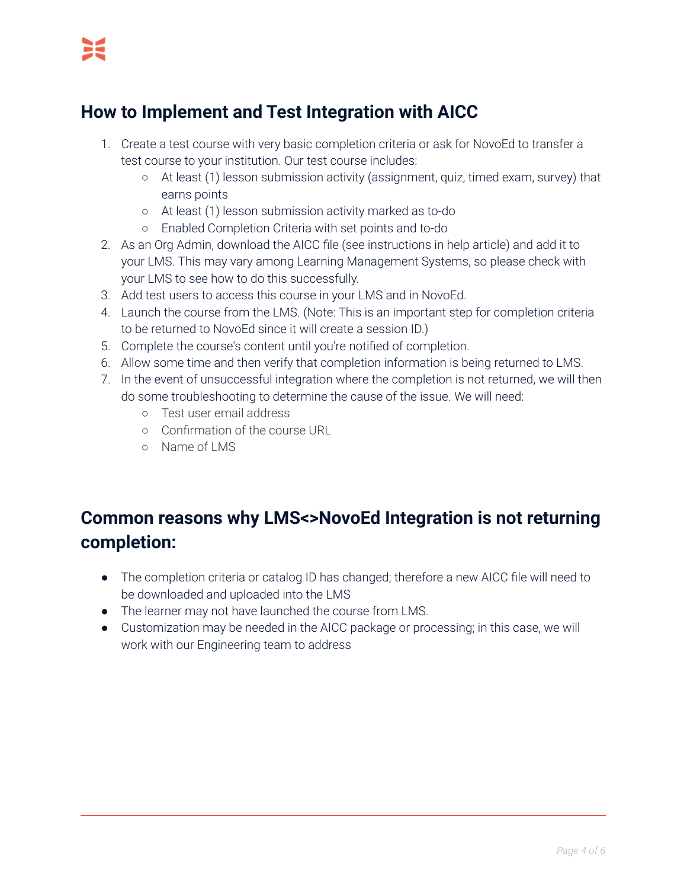# **How to Implement and Test Integration with AICC**

- 1. Create a test course with very basic completion criteria or ask for NovoEd to transfer a test course to your institution. Our test course includes:
	- At least (1) lesson submission activity (assignment, quiz, timed exam, survey) that earns points
	- At least (1) lesson submission activity marked as to-do
	- Enabled Completion Criteria with set points and to-do
- 2. As an Org Admin, download the AICC file (see instructions in help article) and add it to your LMS. This may vary among Learning Management Systems, so please check with your LMS to see how to do this successfully.
- 3. Add test users to access this course in your LMS and in NovoEd.
- 4. Launch the course from the LMS. (Note: This is an important step for completion criteria to be returned to NovoEd since it will create a session ID.)
- 5. Complete the course's content until you're notified of completion.
- 6. Allow some time and then verify that completion information is being returned to LMS.
- 7. In the event of unsuccessful integration where the completion is not returned, we will then do some troubleshooting to determine the cause of the issue. We will need:
	- Test user email address
	- Confirmation of the course URL
	- o Name of LMS

# **Common reasons why LMS<>NovoEd Integration is not returning completion:**

- The completion criteria or catalog ID has changed; therefore a new AICC file will need to be downloaded and uploaded into the LMS
- The learner may not have launched the course from LMS.
- Customization may be needed in the AICC package or processing; in this case, we will work with our Engineering team to address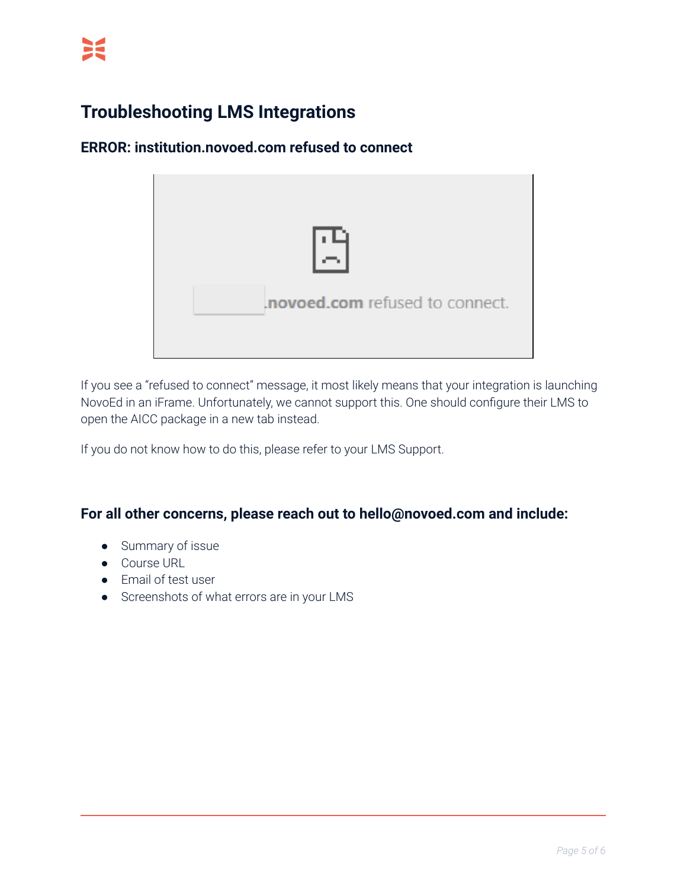# **Troubleshooting LMS Integrations**

### **ERROR: institution.novoed.com refused to connect**



If you see a "refused to connect" message, it most likely means that your integration is launching NovoEd in an iFrame. Unfortunately, we cannot support this. One should configure their LMS to open the AICC package in a new tab instead.

If you do not know how to do this, please refer to your LMS Support.

#### **For all other concerns, please reach out to hello@novoed.com and include:**

- Summary of issue
- Course URL
- Email of test user
- Screenshots of what errors are in your LMS